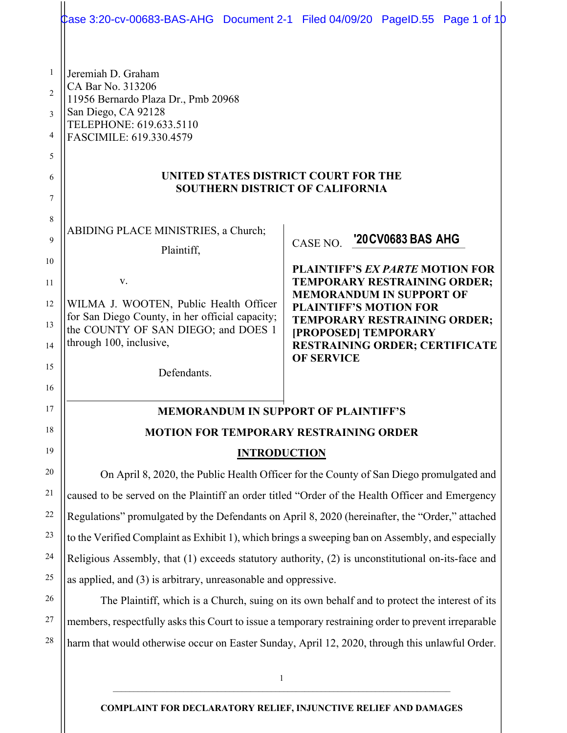|                | Case 3:20-cv-00683-BAS-AHG Document 2-1 Filed 04/09/20 PageID.55 Page 1 of 1D                                                                                                              |                                                                        |  |
|----------------|--------------------------------------------------------------------------------------------------------------------------------------------------------------------------------------------|------------------------------------------------------------------------|--|
| $\mathbf{1}$   | Jeremiah D. Graham                                                                                                                                                                         |                                                                        |  |
| $\overline{2}$ | CA Bar No. 313206                                                                                                                                                                          |                                                                        |  |
| 3              | 11956 Bernardo Plaza Dr., Pmb 20968<br>San Diego, CA 92128                                                                                                                                 |                                                                        |  |
| 4              | TELEPHONE: 619.633.5110<br>FASCIMILE: 619.330.4579                                                                                                                                         |                                                                        |  |
| 5              |                                                                                                                                                                                            |                                                                        |  |
| 6              | UNITED STATES DISTRICT COURT FOR THE                                                                                                                                                       |                                                                        |  |
| $\overline{7}$ | <b>SOUTHERN DISTRICT OF CALIFORNIA</b>                                                                                                                                                     |                                                                        |  |
| 8              |                                                                                                                                                                                            |                                                                        |  |
| 9              | ABIDING PLACE MINISTRIES, a Church;                                                                                                                                                        | '20 CV 0683 BAS AHG                                                    |  |
| 10             | Plaintiff,                                                                                                                                                                                 | CASE NO.                                                               |  |
| 11             | V.                                                                                                                                                                                         | <b>PLAINTIFF'S EX PARTE MOTION FOR</b><br>TEMPORARY RESTRAINING ORDER; |  |
| 12             | WILMA J. WOOTEN, Public Health Officer                                                                                                                                                     | <b>MEMORANDUM IN SUPPORT OF</b>                                        |  |
| 13             | for San Diego County, in her official capacity;                                                                                                                                            | <b>PLAINTIFF'S MOTION FOR</b><br>TEMPORARY RESTRAINING ORDER;          |  |
| 14             | the COUNTY OF SAN DIEGO; and DOES 1<br>through 100, inclusive,                                                                                                                             | [PROPOSED] TEMPORARY<br><b>RESTRAINING ORDER; CERTIFICATE</b>          |  |
| 15             | Defendants.                                                                                                                                                                                | <b>OF SERVICE</b>                                                      |  |
| 16             |                                                                                                                                                                                            |                                                                        |  |
| 17             | <b>MEMORANDUM IN SUPPORT OF PLAINTIFF'S</b>                                                                                                                                                |                                                                        |  |
| 18             | <b>MOTION FOR TEMPORARY RESTRAINING ORDER</b>                                                                                                                                              |                                                                        |  |
| 19             | <b>INTRODUCTION</b>                                                                                                                                                                        |                                                                        |  |
| 20             |                                                                                                                                                                                            |                                                                        |  |
| 21             | On April 8, 2020, the Public Health Officer for the County of San Diego promulgated and<br>caused to be served on the Plaintiff an order titled "Order of the Health Officer and Emergency |                                                                        |  |
| 22             | Regulations" promulgated by the Defendants on April 8, 2020 (hereinafter, the "Order," attached                                                                                            |                                                                        |  |
| 23             | to the Verified Complaint as Exhibit 1), which brings a sweeping ban on Assembly, and especially                                                                                           |                                                                        |  |
| 24             | Religious Assembly, that (1) exceeds statutory authority, (2) is unconstitutional on-its-face and                                                                                          |                                                                        |  |
| 25             | as applied, and (3) is arbitrary, unreasonable and oppressive.                                                                                                                             |                                                                        |  |
| 26             | The Plaintiff, which is a Church, suing on its own behalf and to protect the interest of its                                                                                               |                                                                        |  |
| 27             | members, respectfully asks this Court to issue a temporary restraining order to prevent irreparable                                                                                        |                                                                        |  |
| 28             | harm that would otherwise occur on Easter Sunday, April 12, 2020, through this unlawful Order.                                                                                             |                                                                        |  |
|                |                                                                                                                                                                                            |                                                                        |  |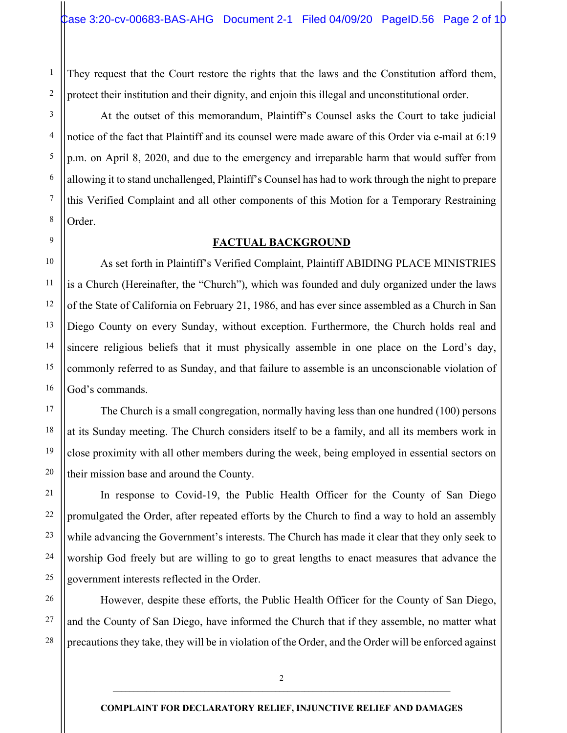They request that the Court restore the rights that the laws and the Constitution afford them, protect their institution and their dignity, and enjoin this illegal and unconstitutional order.

1

2

3

4

5

6

7

8

9

10

11

12

13

14

15

16

17

18

19

20

21

22

23

24

25

27

28

At the outset of this memorandum, Plaintiff's Counsel asks the Court to take judicial notice of the fact that Plaintiff and its counsel were made aware of this Order via e-mail at 6:19 p.m. on April 8, 2020, and due to the emergency and irreparable harm that would suffer from allowing it to stand unchallenged, Plaintiff's Counsel has had to work through the night to prepare this Verified Complaint and all other components of this Motion for a Temporary Restraining Order.

### **FACTUAL BACKGROUND**

As set forth in Plaintiff's Verified Complaint, Plaintiff ABIDING PLACE MINISTRIES is a Church (Hereinafter, the "Church"), which was founded and duly organized under the laws of the State of California on February 21, 1986, and has ever since assembled as a Church in San Diego County on every Sunday, without exception. Furthermore, the Church holds real and sincere religious beliefs that it must physically assemble in one place on the Lord's day, commonly referred to as Sunday, and that failure to assemble is an unconscionable violation of God's commands.

The Church is a small congregation, normally having less than one hundred (100) persons at its Sunday meeting. The Church considers itself to be a family, and all its members work in close proximity with all other members during the week, being employed in essential sectors on their mission base and around the County.

In response to Covid-19, the Public Health Officer for the County of San Diego promulgated the Order, after repeated efforts by the Church to find a way to hold an assembly while advancing the Government's interests. The Church has made it clear that they only seek to worship God freely but are willing to go to great lengths to enact measures that advance the government interests reflected in the Order.

26 However, despite these efforts, the Public Health Officer for the County of San Diego, and the County of San Diego, have informed the Church that if they assemble, no matter what precautions they take, they will be in violation of the Order, and the Order will be enforced against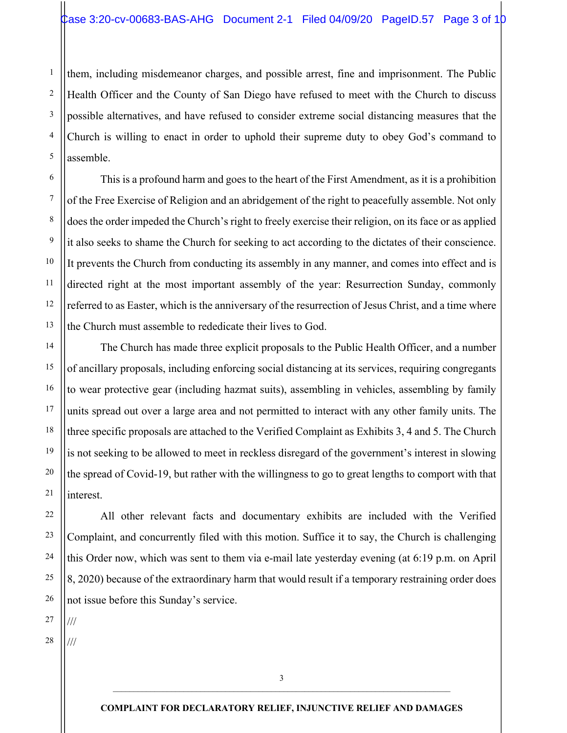them, including misdemeanor charges, and possible arrest, fine and imprisonment. The Public Health Officer and the County of San Diego have refused to meet with the Church to discuss possible alternatives, and have refused to consider extreme social distancing measures that the Church is willing to enact in order to uphold their supreme duty to obey God's command to assemble.

This is a profound harm and goes to the heart of the First Amendment, as it is a prohibition of the Free Exercise of Religion and an abridgement of the right to peacefully assemble. Not only does the order impeded the Church's right to freely exercise their religion, on its face or as applied it also seeks to shame the Church for seeking to act according to the dictates of their conscience. It prevents the Church from conducting its assembly in any manner, and comes into effect and is directed right at the most important assembly of the year: Resurrection Sunday, commonly referred to as Easter, which is the anniversary of the resurrection of Jesus Christ, and a time where the Church must assemble to rededicate their lives to God.

The Church has made three explicit proposals to the Public Health Officer, and a number of ancillary proposals, including enforcing social distancing at its services, requiring congregants to wear protective gear (including hazmat suits), assembling in vehicles, assembling by family units spread out over a large area and not permitted to interact with any other family units. The three specific proposals are attached to the Verified Complaint as Exhibits 3, 4 and 5. The Church is not seeking to be allowed to meet in reckless disregard of the government's interest in slowing the spread of Covid-19, but rather with the willingness to go to great lengths to comport with that interest.

All other relevant facts and documentary exhibits are included with the Verified Complaint, and concurrently filed with this motion. Suffice it to say, the Church is challenging this Order now, which was sent to them via e-mail late yesterday evening (at 6:19 p.m. on April 8, 2020) because of the extraordinary harm that would result if a temporary restraining order does not issue before this Sunday's service.

27 ///

1

2

3

4

5

6

7

8

9

10

11

12

13

14

15

16

17

18

19

20

21

22

23

24

25

26

28 ///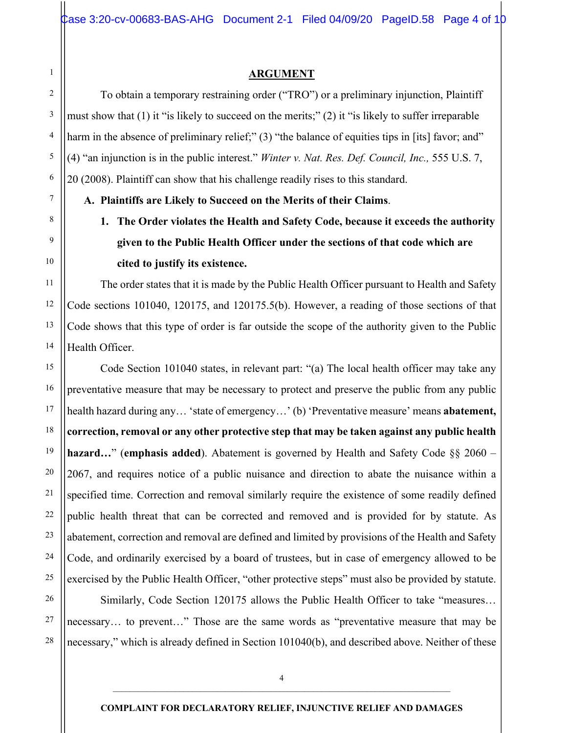### **ARGUMENT**

To obtain a temporary restraining order ("TRO") or a preliminary injunction, Plaintiff must show that (1) it "is likely to succeed on the merits;" (2) it "is likely to suffer irreparable harm in the absence of preliminary relief;" (3) "the balance of equities tips in [its] favor; and" (4) "an injunction is in the public interest." *Winter v. Nat. Res. Def. Council, Inc.,* 555 U.S. 7, 20 (2008). Plaintiff can show that his challenge readily rises to this standard.

**A. Plaintiffs are Likely to Succeed on the Merits of their Claims**.

1

2

3

4

5

6

7

8

9

10

11

12

13

14

15

16

17

18

19

20

21

22

23

24

25

# **1. The Order violates the Health and Safety Code, because it exceeds the authority given to the Public Health Officer under the sections of that code which are cited to justify its existence.**

The order states that it is made by the Public Health Officer pursuant to Health and Safety Code sections 101040, 120175, and 120175.5(b). However, a reading of those sections of that Code shows that this type of order is far outside the scope of the authority given to the Public Health Officer.

Code Section 101040 states, in relevant part: "(a) The local health officer may take any preventative measure that may be necessary to protect and preserve the public from any public health hazard during any… 'state of emergency…' (b) 'Preventative measure' means **abatement, correction, removal or any other protective step that may be taken against any public health hazard…**" (**emphasis added**). Abatement is governed by Health and Safety Code §§ 2060 – 2067, and requires notice of a public nuisance and direction to abate the nuisance within a specified time. Correction and removal similarly require the existence of some readily defined public health threat that can be corrected and removed and is provided for by statute. As abatement, correction and removal are defined and limited by provisions of the Health and Safety Code, and ordinarily exercised by a board of trustees, but in case of emergency allowed to be exercised by the Public Health Officer, "other protective steps" must also be provided by statute.

26 27 28 Similarly, Code Section 120175 allows the Public Health Officer to take "measures… necessary… to prevent…" Those are the same words as "preventative measure that may be necessary," which is already defined in Section 101040(b), and described above. Neither of these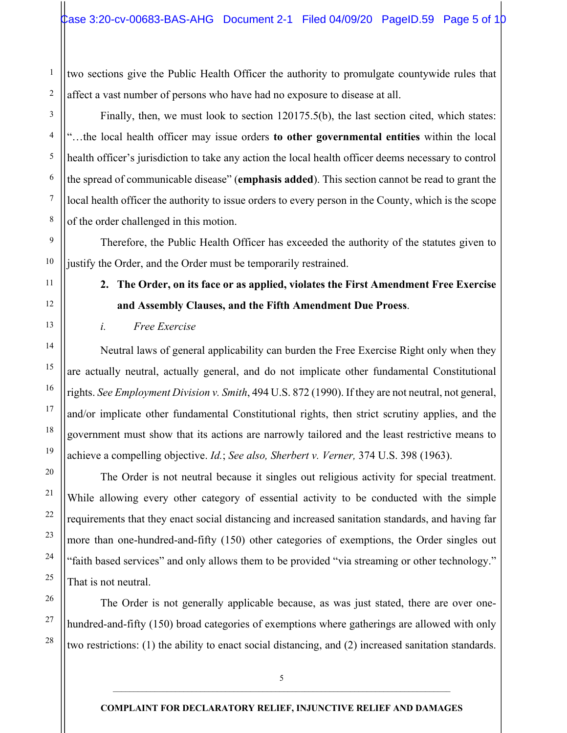two sections give the Public Health Officer the authority to promulgate countywide rules that affect a vast number of persons who have had no exposure to disease at all.

Finally, then, we must look to section 120175.5(b), the last section cited, which states: "…the local health officer may issue orders **to other governmental entities** within the local health officer's jurisdiction to take any action the local health officer deems necessary to control the spread of communicable disease" (**emphasis added**). This section cannot be read to grant the local health officer the authority to issue orders to every person in the County, which is the scope of the order challenged in this motion.

Therefore, the Public Health Officer has exceeded the authority of the statutes given to justify the Order, and the Order must be temporarily restrained.

**2. The Order, on its face or as applied, violates the First Amendment Free Exercise and Assembly Clauses, and the Fifth Amendment Due Proess**.

*i. Free Exercise*

Neutral laws of general applicability can burden the Free Exercise Right only when they are actually neutral, actually general, and do not implicate other fundamental Constitutional rights. *See Employment Division v. Smith*, 494 U.S. 872 (1990). If they are not neutral, not general, and/or implicate other fundamental Constitutional rights, then strict scrutiny applies, and the government must show that its actions are narrowly tailored and the least restrictive means to achieve a compelling objective. *Id.*; *See also, Sherbert v. Verner,* 374 U.S. 398 (1963).

The Order is not neutral because it singles out religious activity for special treatment. While allowing every other category of essential activity to be conducted with the simple requirements that they enact social distancing and increased sanitation standards, and having far more than one-hundred-and-fifty (150) other categories of exemptions, the Order singles out "faith based services" and only allows them to be provided "via streaming or other technology." That is not neutral.

The Order is not generally applicable because, as was just stated, there are over onehundred-and-fifty (150) broad categories of exemptions where gatherings are allowed with only two restrictions: (1) the ability to enact social distancing, and (2) increased sanitation standards.

1

2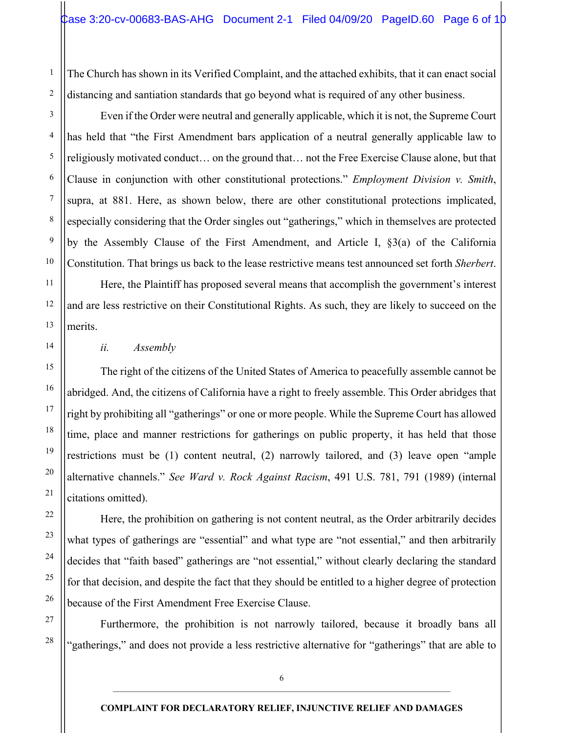The Church has shown in its Verified Complaint, and the attached exhibits, that it can enact social distancing and santiation standards that go beyond what is required of any other business.

Even if the Order were neutral and generally applicable, which it is not, the Supreme Court has held that "the First Amendment bars application of a neutral generally applicable law to religiously motivated conduct… on the ground that… not the Free Exercise Clause alone, but that Clause in conjunction with other constitutional protections." *Employment Division v. Smith*, supra, at 881. Here, as shown below, there are other constitutional protections implicated, especially considering that the Order singles out "gatherings," which in themselves are protected by the Assembly Clause of the First Amendment, and Article I, §3(a) of the California Constitution. That brings us back to the lease restrictive means test announced set forth *Sherbert*.

Here, the Plaintiff has proposed several means that accomplish the government's interest and are less restrictive on their Constitutional Rights. As such, they are likely to succeed on the merits.

*ii. Assembly*

The right of the citizens of the United States of America to peacefully assemble cannot be abridged. And, the citizens of California have a right to freely assemble. This Order abridges that right by prohibiting all "gatherings" or one or more people. While the Supreme Court has allowed time, place and manner restrictions for gatherings on public property, it has held that those restrictions must be (1) content neutral, (2) narrowly tailored, and (3) leave open "ample alternative channels." *See Ward v. Rock Against Racism*, 491 U.S. 781, 791 (1989) (internal citations omitted).

Here, the prohibition on gathering is not content neutral, as the Order arbitrarily decides what types of gatherings are "essential" and what type are "not essential," and then arbitrarily decides that "faith based" gatherings are "not essential," without clearly declaring the standard for that decision, and despite the fact that they should be entitled to a higher degree of protection because of the First Amendment Free Exercise Clause.

Furthermore, the prohibition is not narrowly tailored, because it broadly bans all "gatherings," and does not provide a less restrictive alternative for "gatherings" that are able to

1

2

3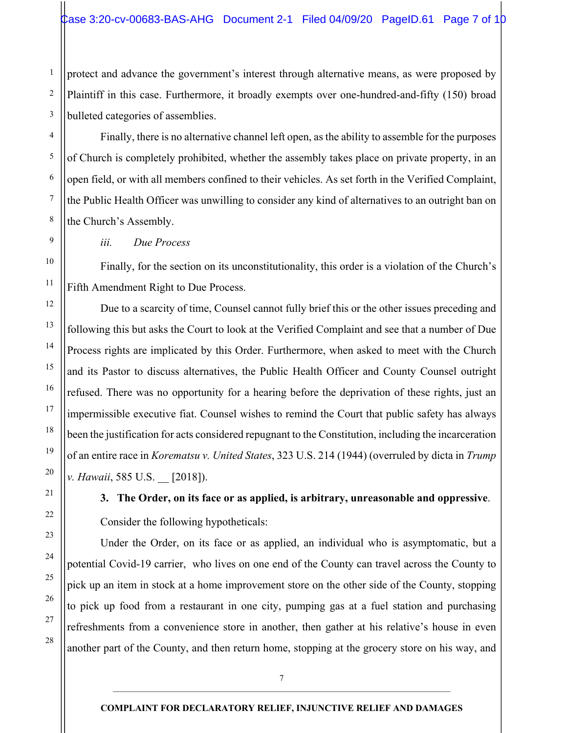protect and advance the government's interest through alternative means, as were proposed by Plaintiff in this case. Furthermore, it broadly exempts over one-hundred-and-fifty (150) broad bulleted categories of assemblies.

Finally, there is no alternative channel left open, as the ability to assemble for the purposes of Church is completely prohibited, whether the assembly takes place on private property, in an open field, or with all members confined to their vehicles. As set forth in the Verified Complaint, the Public Health Officer was unwilling to consider any kind of alternatives to an outright ban on the Church's Assembly.

*iii. Due Process*

Finally, for the section on its unconstitutionality, this order is a violation of the Church's Fifth Amendment Right to Due Process.

Due to a scarcity of time, Counsel cannot fully brief this or the other issues preceding and following this but asks the Court to look at the Verified Complaint and see that a number of Due Process rights are implicated by this Order. Furthermore, when asked to meet with the Church and its Pastor to discuss alternatives, the Public Health Officer and County Counsel outright refused. There was no opportunity for a hearing before the deprivation of these rights, just an impermissible executive fiat. Counsel wishes to remind the Court that public safety has always been the justification for acts considered repugnant to the Constitution, including the incarceration of an entire race in *Korematsu v. United States*, 323 U.S. 214 (1944) (overruled by dicta in *Trump v. Hawaii*, 585 U.S. [2018]).

**3. The Order, on its face or as applied, is arbitrary, unreasonable and oppressive**. Consider the following hypotheticals:

Under the Order, on its face or as applied, an individual who is asymptomatic, but a potential Covid-19 carrier, who lives on one end of the County can travel across the County to pick up an item in stock at a home improvement store on the other side of the County, stopping to pick up food from a restaurant in one city, pumping gas at a fuel station and purchasing refreshments from a convenience store in another, then gather at his relative's house in even another part of the County, and then return home, stopping at the grocery store on his way, and

1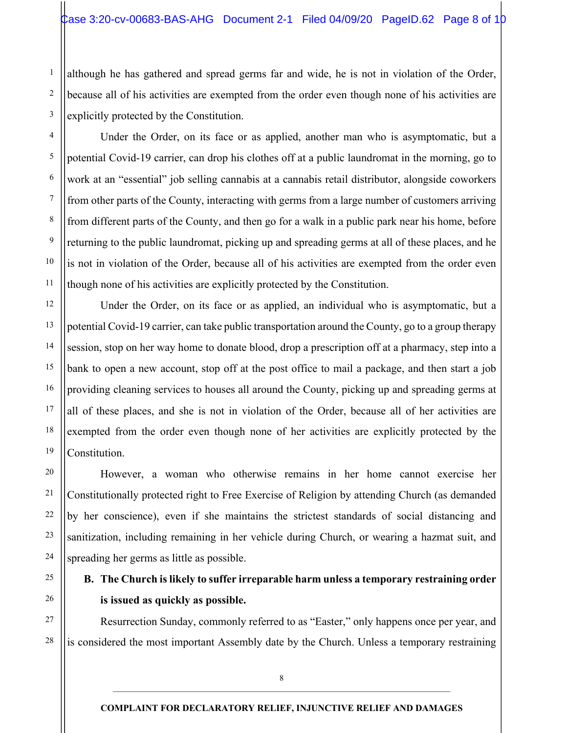although he has gathered and spread germs far and wide, he is not in violation of the Order, because all of his activities are exempted from the order even though none of his activities are explicitly protected by the Constitution.

1

2

3

4

5

6

7

8

9

10

11

12

13

14

15

16

17

18

19

20

21

22

23

24

25

26

27

28

Under the Order, on its face or as applied, another man who is asymptomatic, but a potential Covid-19 carrier, can drop his clothes off at a public laundromat in the morning, go to work at an "essential" job selling cannabis at a cannabis retail distributor, alongside coworkers from other parts of the County, interacting with germs from a large number of customers arriving from different parts of the County, and then go for a walk in a public park near his home, before returning to the public laundromat, picking up and spreading germs at all of these places, and he is not in violation of the Order, because all of his activities are exempted from the order even though none of his activities are explicitly protected by the Constitution.

Under the Order, on its face or as applied, an individual who is asymptomatic, but a potential Covid-19 carrier, can take public transportation around the County, go to a group therapy session, stop on her way home to donate blood, drop a prescription off at a pharmacy, step into a bank to open a new account, stop off at the post office to mail a package, and then start a job providing cleaning services to houses all around the County, picking up and spreading germs at all of these places, and she is not in violation of the Order, because all of her activities are exempted from the order even though none of her activities are explicitly protected by the Constitution.

However, a woman who otherwise remains in her home cannot exercise her Constitutionally protected right to Free Exercise of Religion by attending Church (as demanded by her conscience), even if she maintains the strictest standards of social distancing and sanitization, including remaining in her vehicle during Church, or wearing a hazmat suit, and spreading her germs as little as possible.

## **B. The Church is likely to suffer irreparable harm unless a temporary restraining order is issued as quickly as possible.**

Resurrection Sunday, commonly referred to as "Easter," only happens once per year, and is considered the most important Assembly date by the Church. Unless a temporary restraining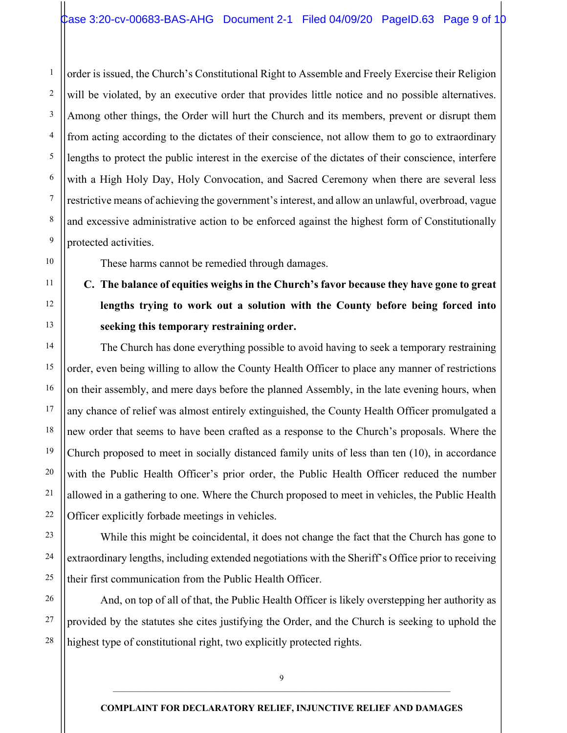order is issued, the Church's Constitutional Right to Assemble and Freely Exercise their Religion will be violated, by an executive order that provides little notice and no possible alternatives. Among other things, the Order will hurt the Church and its members, prevent or disrupt them from acting according to the dictates of their conscience, not allow them to go to extraordinary lengths to protect the public interest in the exercise of the dictates of their conscience, interfere with a High Holy Day, Holy Convocation, and Sacred Ceremony when there are several less restrictive means of achieving the government's interest, and allow an unlawful, overbroad, vague and excessive administrative action to be enforced against the highest form of Constitutionally protected activities.

These harms cannot be remedied through damages.

1

2

3

4

5

6

7

8

9

10

11

12

13

14

15

16

17

18

19

20

21

22

23

24

25

**C. The balance of equities weighs in the Church's favor because they have gone to great lengths trying to work out a solution with the County before being forced into seeking this temporary restraining order.** 

The Church has done everything possible to avoid having to seek a temporary restraining order, even being willing to allow the County Health Officer to place any manner of restrictions on their assembly, and mere days before the planned Assembly, in the late evening hours, when any chance of relief was almost entirely extinguished, the County Health Officer promulgated a new order that seems to have been crafted as a response to the Church's proposals. Where the Church proposed to meet in socially distanced family units of less than ten (10), in accordance with the Public Health Officer's prior order, the Public Health Officer reduced the number allowed in a gathering to one. Where the Church proposed to meet in vehicles, the Public Health Officer explicitly forbade meetings in vehicles.

While this might be coincidental, it does not change the fact that the Church has gone to extraordinary lengths, including extended negotiations with the Sheriff's Office prior to receiving their first communication from the Public Health Officer.

26 27 28 And, on top of all of that, the Public Health Officer is likely overstepping her authority as provided by the statutes she cites justifying the Order, and the Church is seeking to uphold the highest type of constitutional right, two explicitly protected rights.